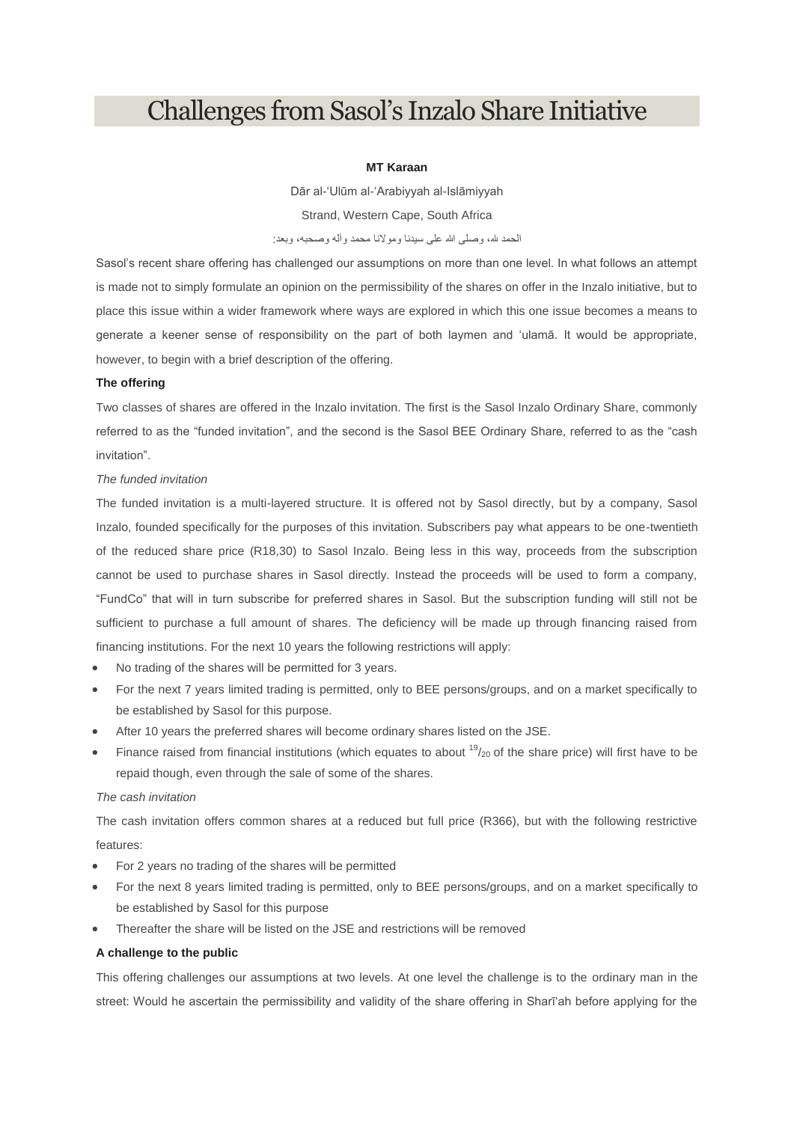# Challenges from Sasol's Inzalo Share Initiative

# **MT Karaan**

Dār al-'Ulūm al-'Arabiyyah al-Islāmiyyah

Strand, Western Cape, South Africa

### الحمد لله، وصلى الله على سيدنا ومولانا محمد وآله وصحبه، وبعد:

Sasol's recent share offering has challenged our assumptions on more than one level. In what follows an attempt is made not to simply formulate an opinion on the permissibility of the shares on offer in the Inzalo initiative, but to place this issue within a wider framework where ways are explored in which this one issue becomes a means to generate a keener sense of responsibility on the part of both laymen and 'ulamā. It would be appropriate, however, to begin with a brief description of the offering.

#### **The offering**

Two classes of shares are offered in the Inzalo invitation. The first is the Sasol Inzalo Ordinary Share, commonly referred to as the "funded invitation", and the second is the Sasol BEE Ordinary Share, referred to as the "cash invitation".

# *The funded invitation*

The funded invitation is a multi-layered structure. It is offered not by Sasol directly, but by a company, Sasol Inzalo, founded specifically for the purposes of this invitation. Subscribers pay what appears to be one-twentieth of the reduced share price (R18,30) to Sasol Inzalo. Being less in this way, proceeds from the subscription cannot be used to purchase shares in Sasol directly. Instead the proceeds will be used to form a company, "FundCo" that will in turn subscribe for preferred shares in Sasol. But the subscription funding will still not be sufficient to purchase a full amount of shares. The deficiency will be made up through financing raised from financing institutions. For the next 10 years the following restrictions will apply:

- No trading of the shares will be permitted for 3 years.
- For the next 7 years limited trading is permitted, only to BEE persons/groups, and on a market specifically to be established by Sasol for this purpose.
- After 10 years the preferred shares will become ordinary shares listed on the JSE.
- Finance raised from financial institutions (which equates to about  $19/20$  of the share price) will first have to be repaid though, even through the sale of some of the shares.

## *The cash invitation*

The cash invitation offers common shares at a reduced but full price (R366), but with the following restrictive features:

- For 2 years no trading of the shares will be permitted
- For the next 8 years limited trading is permitted, only to BEE persons/groups, and on a market specifically to be established by Sasol for this purpose
- Thereafter the share will be listed on the JSE and restrictions will be removed

# **A challenge to the public**

This offering challenges our assumptions at two levels. At one level the challenge is to the ordinary man in the street: Would he ascertain the permissibility and validity of the share offering in Sharī'ah before applying for the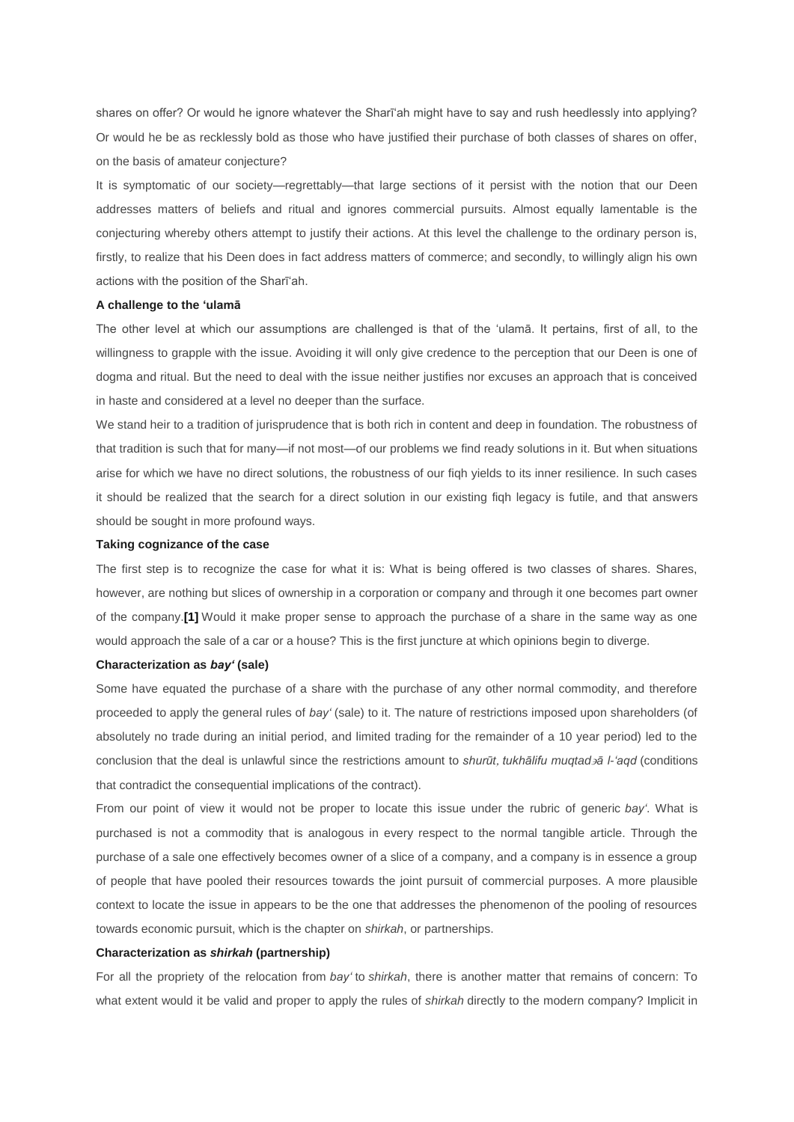shares on offer? Or would he ignore whatever the Sharī'ah might have to say and rush heedlessly into applying? Or would he be as recklessly bold as those who have justified their purchase of both classes of shares on offer, on the basis of amateur conjecture?

It is symptomatic of our society—regrettably—that large sections of it persist with the notion that our Deen addresses matters of beliefs and ritual and ignores commercial pursuits. Almost equally lamentable is the conjecturing whereby others attempt to justify their actions. At this level the challenge to the ordinary person is, firstly, to realize that his Deen does in fact address matters of commerce; and secondly, to willingly align his own actions with the position of the Sharī'ah.

#### **A challenge to the 'ulamā**

The other level at which our assumptions are challenged is that of the 'ulamā. It pertains, first of all, to the willingness to grapple with the issue. Avoiding it will only give credence to the perception that our Deen is one of dogma and ritual. But the need to deal with the issue neither justifies nor excuses an approach that is conceived in haste and considered at a level no deeper than the surface.

We stand heir to a tradition of jurisprudence that is both rich in content and deep in foundation. The robustness of that tradition is such that for many—if not most—of our problems we find ready solutions in it. But when situations arise for which we have no direct solutions, the robustness of our fiqh yields to its inner resilience. In such cases it should be realized that the search for a direct solution in our existing fiqh legacy is futile, and that answers should be sought in more profound ways.

#### **Taking cognizance of the case**

The first step is to recognize the case for what it is: What is being offered is two classes of shares. Shares, however, are nothing but slices of ownership in a corporation or company and through it one becomes part owner of the company.**[\[1\]](http://daralturath.co.za/Site/?page_id=804#_ftn1)** Would it make proper sense to approach the purchase of a share in the same way as one would approach the sale of a car or a house? This is the first juncture at which opinions begin to diverge.

#### **Characterization as** *bay'* **(sale)**

Some have equated the purchase of a share with the purchase of any other normal commodity, and therefore proceeded to apply the general rules of *bay'* (sale) to it. The nature of restrictions imposed upon shareholders (of absolutely no trade during an initial period, and limited trading for the remainder of a 10 year period) led to the conclusion that the deal is unlawful since the restrictions amount to *shurūt tukhālifu muqtadā l-'aqd* (conditions that contradict the consequential implications of the contract).

From our point of view it would not be proper to locate this issue under the rubric of generic *bay'*. What is purchased is not a commodity that is analogous in every respect to the normal tangible article. Through the purchase of a sale one effectively becomes owner of a slice of a company, and a company is in essence a group of people that have pooled their resources towards the joint pursuit of commercial purposes. A more plausible context to locate the issue in appears to be the one that addresses the phenomenon of the pooling of resources towards economic pursuit, which is the chapter on *shirkah*, or partnerships.

#### **Characterization as** *shirkah* **(partnership)**

For all the propriety of the relocation from *bay'* to *shirkah*, there is another matter that remains of concern: To what extent would it be valid and proper to apply the rules of *shirkah* directly to the modern company? Implicit in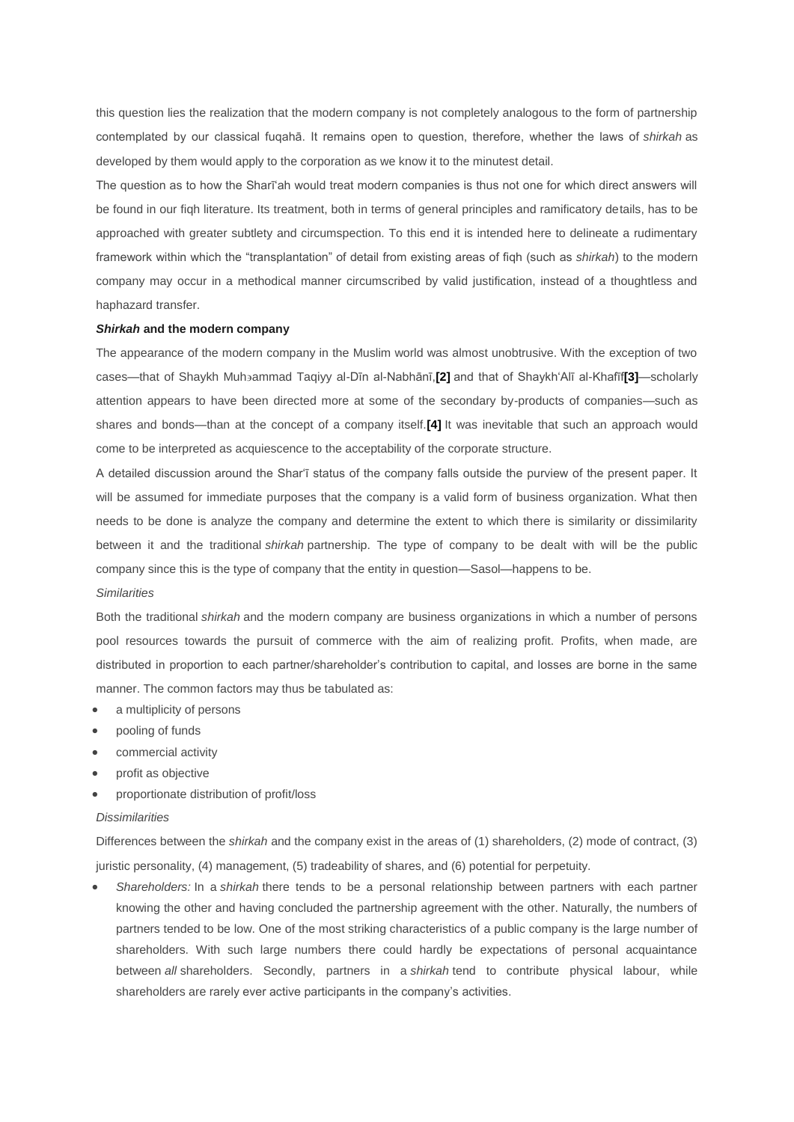this question lies the realization that the modern company is not completely analogous to the form of partnership contemplated by our classical fuqahā. It remains open to question, therefore, whether the laws of *shirkah* as developed by them would apply to the corporation as we know it to the minutest detail.

The question as to how the Sharī'ah would treat modern companies is thus not one for which direct answers will be found in our fiqh literature. Its treatment, both in terms of general principles and ramificatory details, has to be approached with greater subtlety and circumspection. To this end it is intended here to delineate a rudimentary framework within which the "transplantation" of detail from existing areas of fiqh (such as *shirkah*) to the modern company may occur in a methodical manner circumscribed by valid justification, instead of a thoughtless and haphazard transfer.

## *Shirkah* **and the modern company**

The appearance of the modern company in the Muslim world was almost unobtrusive. With the exception of two cases—that of Shaykh Muhammad Taqiyy al-Dīn al-Nabhānī,**[\[2\]](http://daralturath.co.za/Site/?page_id=804#_ftn2)** and that of Shaykh'Alī al-Khafīf**[\[3\]](http://daralturath.co.za/Site/?page_id=804#_ftn3)**—scholarly attention appears to have been directed more at some of the secondary by-products of companies—such as shares and bonds—than at the concept of a company itself.**[\[4\]](http://daralturath.co.za/Site/?page_id=804#_ftn4)** It was inevitable that such an approach would come to be interpreted as acquiescence to the acceptability of the corporate structure.

A detailed discussion around the Shar'ī status of the company falls outside the purview of the present paper. It will be assumed for immediate purposes that the company is a valid form of business organization. What then needs to be done is analyze the company and determine the extent to which there is similarity or dissimilarity between it and the traditional *shirkah* partnership. The type of company to be dealt with will be the public company since this is the type of company that the entity in question—Sasol—happens to be.

#### *Similarities*

Both the traditional *shirkah* and the modern company are business organizations in which a number of persons pool resources towards the pursuit of commerce with the aim of realizing profit. Profits, when made, are distributed in proportion to each partner/shareholder's contribution to capital, and losses are borne in the same manner. The common factors may thus be tabulated as:

- a multiplicity of persons
- pooling of funds
- commercial activity
- profit as objective
- proportionate distribution of profit/loss

### *Dissimilarities*

Differences between the *shirkah* and the company exist in the areas of (1) shareholders, (2) mode of contract, (3) juristic personality, (4) management, (5) tradeability of shares, and (6) potential for perpetuity.

 *Shareholders:* In a *shirkah* there tends to be a personal relationship between partners with each partner knowing the other and having concluded the partnership agreement with the other. Naturally, the numbers of partners tended to be low. One of the most striking characteristics of a public company is the large number of shareholders. With such large numbers there could hardly be expectations of personal acquaintance between *all* shareholders. Secondly, partners in a *shirkah* tend to contribute physical labour, while shareholders are rarely ever active participants in the company's activities.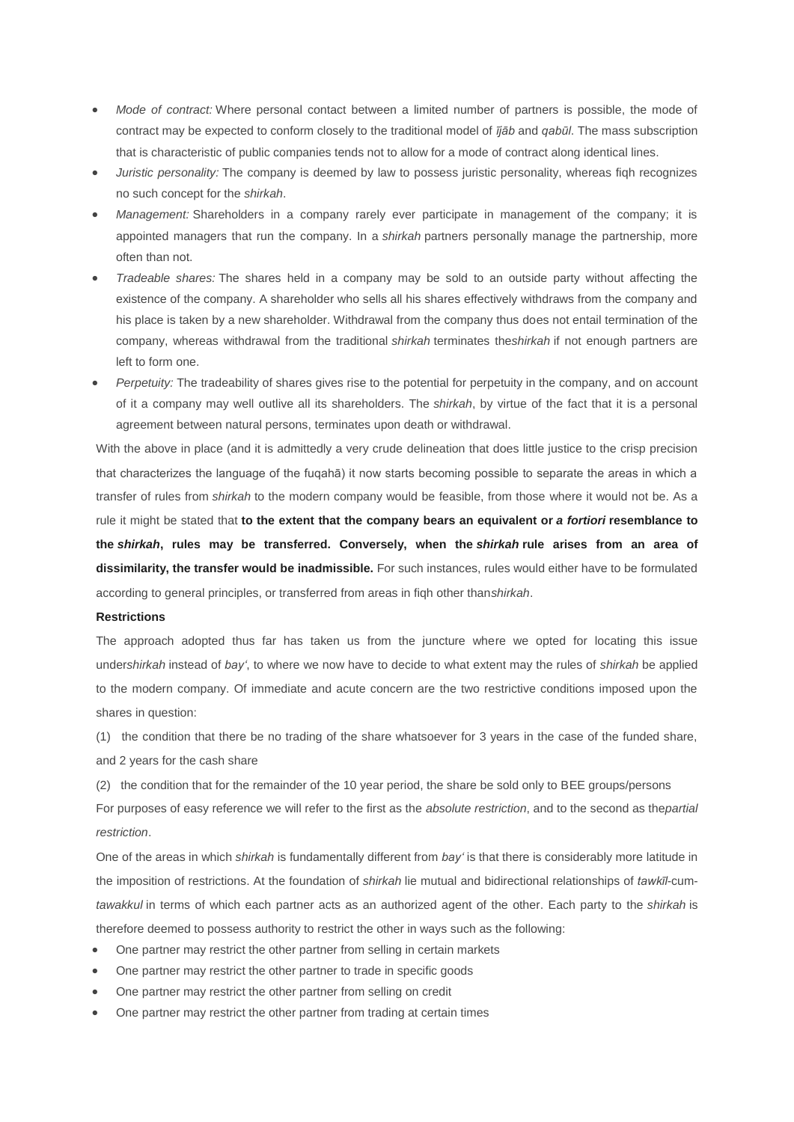- *Mode of contract:* Where personal contact between a limited number of partners is possible, the mode of contract may be expected to conform closely to the traditional model of *ījāb* and *qabūl*. The mass subscription that is characteristic of public companies tends not to allow for a mode of contract along identical lines.
- *Juristic personality:* The company is deemed by law to possess juristic personality, whereas figh recognizes no such concept for the *shirkah*.
- *Management:* Shareholders in a company rarely ever participate in management of the company; it is appointed managers that run the company. In a *shirkah* partners personally manage the partnership, more often than not.
- *Tradeable shares:* The shares held in a company may be sold to an outside party without affecting the existence of the company. A shareholder who sells all his shares effectively withdraws from the company and his place is taken by a new shareholder. Withdrawal from the company thus does not entail termination of the company, whereas withdrawal from the traditional *shirkah* terminates the*shirkah* if not enough partners are left to form one.
- *Perpetuity:* The tradeability of shares gives rise to the potential for perpetuity in the company, and on account of it a company may well outlive all its shareholders. The *shirkah*, by virtue of the fact that it is a personal agreement between natural persons, terminates upon death or withdrawal.

With the above in place (and it is admittedly a very crude delineation that does little justice to the crisp precision that characterizes the language of the fuqahā) it now starts becoming possible to separate the areas in which a transfer of rules from *shirkah* to the modern company would be feasible, from those where it would not be. As a rule it might be stated that **to the extent that the company bears an equivalent or** *a fortiori* **resemblance to the** *shirkah***, rules may be transferred. Conversely, when the** *shirkah* **rule arises from an area of dissimilarity, the transfer would be inadmissible.** For such instances, rules would either have to be formulated according to general principles, or transferred from areas in fiqh other than*shirkah*.

#### **Restrictions**

The approach adopted thus far has taken us from the juncture where we opted for locating this issue under*shirkah* instead of *bay'*, to where we now have to decide to what extent may the rules of *shirkah* be applied to the modern company. Of immediate and acute concern are the two restrictive conditions imposed upon the shares in question:

(1) the condition that there be no trading of the share whatsoever for 3 years in the case of the funded share, and 2 years for the cash share

(2) the condition that for the remainder of the 10 year period, the share be sold only to BEE groups/persons For purposes of easy reference we will refer to the first as the *absolute restriction*, and to the second as the*partial restriction*.

One of the areas in which *shirkah* is fundamentally different from *bay'* is that there is considerably more latitude in the imposition of restrictions. At the foundation of *shirkah* lie mutual and bidirectional relationships of *tawkīl*-cum*tawakkul* in terms of which each partner acts as an authorized agent of the other. Each party to the *shirkah* is therefore deemed to possess authority to restrict the other in ways such as the following:

- One partner may restrict the other partner from selling in certain markets
- One partner may restrict the other partner to trade in specific goods
- One partner may restrict the other partner from selling on credit
- One partner may restrict the other partner from trading at certain times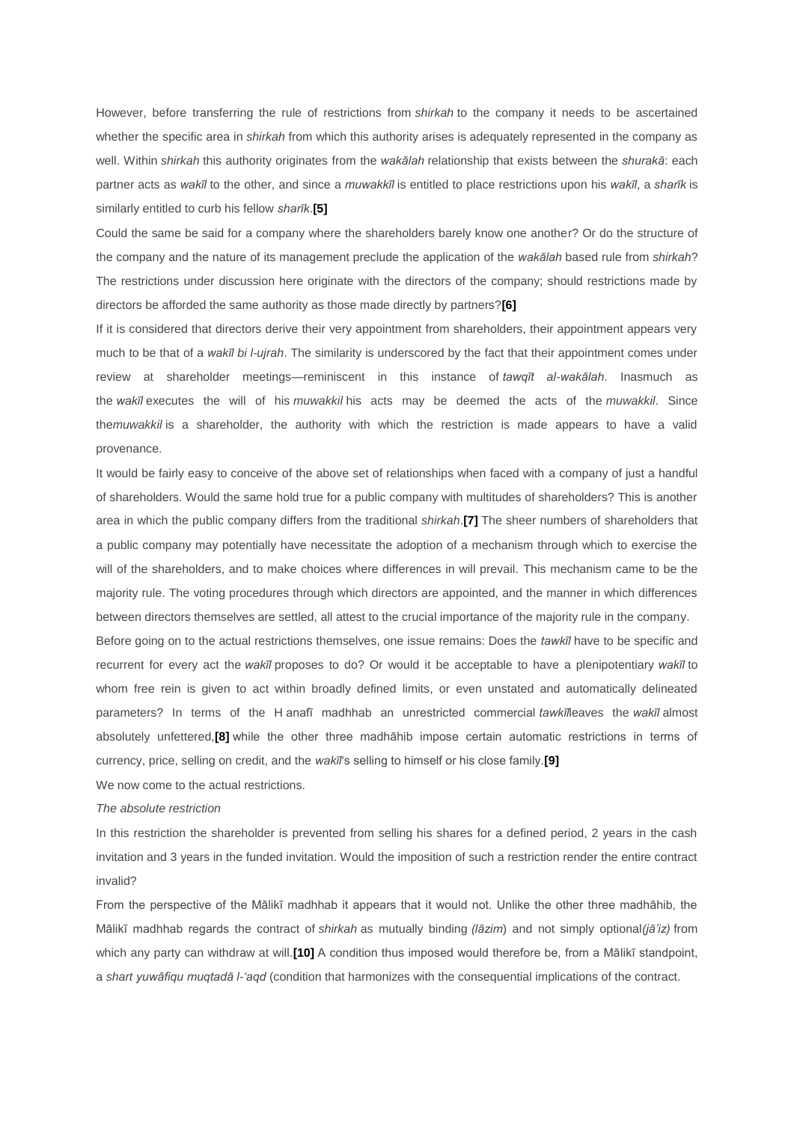However, before transferring the rule of restrictions from *shirkah* to the company it needs to be ascertained whether the specific area in *shirkah* from which this authority arises is adequately represented in the company as well. Within *shirkah* this authority originates from the *wakālah* relationship that exists between the *shurakā*: each partner acts as *wakīl* to the other, and since a *muwakkīl* is entitled to place restrictions upon his *wakīl*, a *sharīk* is similarly entitled to curb his fellow *sharīk*.**[\[5\]](http://daralturath.co.za/Site/?page_id=804#_ftn5)**

Could the same be said for a company where the shareholders barely know one another? Or do the structure of the company and the nature of its management preclude the application of the *wakālah* based rule from *shirkah*? The restrictions under discussion here originate with the directors of the company; should restrictions made by directors be afforded the same authority as those made directly by partners?**[\[6\]](http://daralturath.co.za/Site/?page_id=804#_ftn6)**

If it is considered that directors derive their very appointment from shareholders, their appointment appears very much to be that of a *wakīl bi l-ujrah*. The similarity is underscored by the fact that their appointment comes under review at shareholder meetings—reminiscent in this instance of *tawqīt al-wakālah*. Inasmuch as the *wakīl* executes the will of his *muwakkil* his acts may be deemed the acts of the *muwakkil*. Since the*muwakkil* is a shareholder, the authority with which the restriction is made appears to have a valid provenance.

It would be fairly easy to conceive of the above set of relationships when faced with a company of just a handful of shareholders. Would the same hold true for a public company with multitudes of shareholders? This is another area in which the public company differs from the traditional *shirkah*.**[\[7\]](http://daralturath.co.za/Site/?page_id=804#_ftn7)** The sheer numbers of shareholders that a public company may potentially have necessitate the adoption of a mechanism through which to exercise the will of the shareholders, and to make choices where differences in will prevail. This mechanism came to be the majority rule. The voting procedures through which directors are appointed, and the manner in which differences between directors themselves are settled, all attest to the crucial importance of the majority rule in the company.

Before going on to the actual restrictions themselves, one issue remains: Does the *tawkīl* have to be specific and recurrent for every act the *wakīl* proposes to do? Or would it be acceptable to have a plenipotentiary *wakīl* to whom free rein is given to act within broadly defined limits, or even unstated and automatically delineated parameters? In terms of the H anafī madhhab an unrestricted commercial *tawkīl*leaves the *wakīl* almost absolutely unfettered,**[\[8\]](http://daralturath.co.za/Site/?page_id=804#_ftn8)** while the other three madhāhib impose certain automatic restrictions in terms of currency, price, selling on credit, and the *wakīl*'s selling to himself or his close family.**[\[9\]](http://daralturath.co.za/Site/?page_id=804#_ftn9)**

We now come to the actual restrictions.

# *The absolute restriction*

In this restriction the shareholder is prevented from selling his shares for a defined period, 2 years in the cash invitation and 3 years in the funded invitation. Would the imposition of such a restriction render the entire contract invalid?

From the perspective of the Mālikī madhhab it appears that it would not. Unlike the other three madhāhib, the Mālikī madhhab regards the contract of *shirkah* as mutually binding *(lāzim*) and not simply optional*(jā'iz)* from which any party can withdraw at will.**[\[10\]](http://daralturath.co.za/Site/?page_id=804#_ftn10)** A condition thus imposed would therefore be, from a Mālikī standpoint, a *shart yuwāfiqu muqtadā l-'aqd* (condition that harmonizes with the consequential implications of the contract.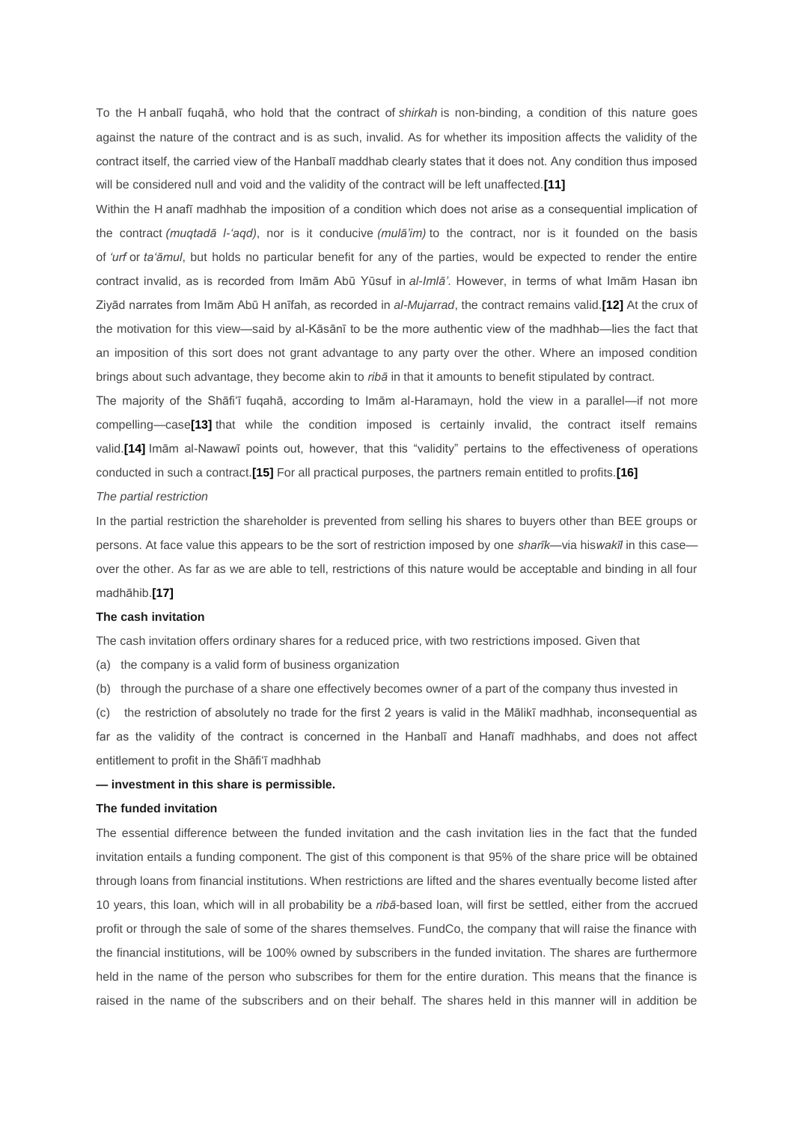To the H anbalī fuqahā, who hold that the contract of *shirkah* is non-binding, a condition of this nature goes against the nature of the contract and is as such, invalid. As for whether its imposition affects the validity of the contract itself, the carried view of the Hanbalī maddhab clearly states that it does not. Any condition thus imposed will be considered null and void and the validity of the contract will be left unaffected.**[\[11\]](http://daralturath.co.za/Site/?page_id=804#_ftn11)**

Within the H anafī madhhab the imposition of a condition which does not arise as a consequential implication of the contract *(muqtadā l-'aqd)*, nor is it conducive *(mulā'im)* to the contract, nor is it founded on the basis of *'urf* or *ta'āmul*, but holds no particular benefit for any of the parties, would be expected to render the entire contract invalid, as is recorded from Imām Abū Yūsuf in *al-Imlā'*. However, in terms of what Imām Hasan ibn Ziyād narrates from Imām Abū H anīfah, as recorded in *al-Mujarrad*, the contract remains valid.**[\[12\]](http://daralturath.co.za/Site/?page_id=804#_ftn12)** At the crux of the motivation for this view—said by al-Kāsānī to be the more authentic view of the madhhab—lies the fact that an imposition of this sort does not grant advantage to any party over the other. Where an imposed condition brings about such advantage, they become akin to *ribā* in that it amounts to benefit stipulated by contract.

The majority of the Shāfi'ī fuqahā, according to Imām al-Haramayn, hold the view in a parallel—if not more compelling—case**[\[13\]](http://daralturath.co.za/Site/?page_id=804#_ftn13)** that while the condition imposed is certainly invalid, the contract itself remains valid.**[\[14\]](http://daralturath.co.za/Site/?page_id=804#_ftn14)** Imām al-Nawawī points out, however, that this "validity" pertains to the effectiveness of operations conducted in such a contract.**[\[15\]](http://daralturath.co.za/Site/?page_id=804#_ftn15)** For all practical purposes, the partners remain entitled to profits.**[\[16\]](http://daralturath.co.za/Site/?page_id=804#_ftn16)**

## *The partial restriction*

In the partial restriction the shareholder is prevented from selling his shares to buyers other than BEE groups or persons. At face value this appears to be the sort of restriction imposed by one *sharīk*—via his*wakīl* in this case over the other. As far as we are able to tell, restrictions of this nature would be acceptable and binding in all four madhāhib.**[\[17\]](http://daralturath.co.za/Site/?page_id=804#_ftn17)**

#### **The cash invitation**

The cash invitation offers ordinary shares for a reduced price, with two restrictions imposed. Given that

(a) the company is a valid form of business organization

(b) through the purchase of a share one effectively becomes owner of a part of the company thus invested in

(c) the restriction of absolutely no trade for the first 2 years is valid in the Mālikī madhhab, inconsequential as far as the validity of the contract is concerned in the Hanbalī and Hanafī madhhabs, and does not affect entitlement to profit in the Shāfi'ī madhhab

#### **— investment in this share is permissible.**

## **The funded invitation**

The essential difference between the funded invitation and the cash invitation lies in the fact that the funded invitation entails a funding component. The gist of this component is that 95% of the share price will be obtained through loans from financial institutions. When restrictions are lifted and the shares eventually become listed after 10 years, this loan, which will in all probability be a *ribā*-based loan, will first be settled, either from the accrued profit or through the sale of some of the shares themselves. FundCo, the company that will raise the finance with the financial institutions, will be 100% owned by subscribers in the funded invitation. The shares are furthermore held in the name of the person who subscribes for them for the entire duration. This means that the finance is raised in the name of the subscribers and on their behalf. The shares held in this manner will in addition be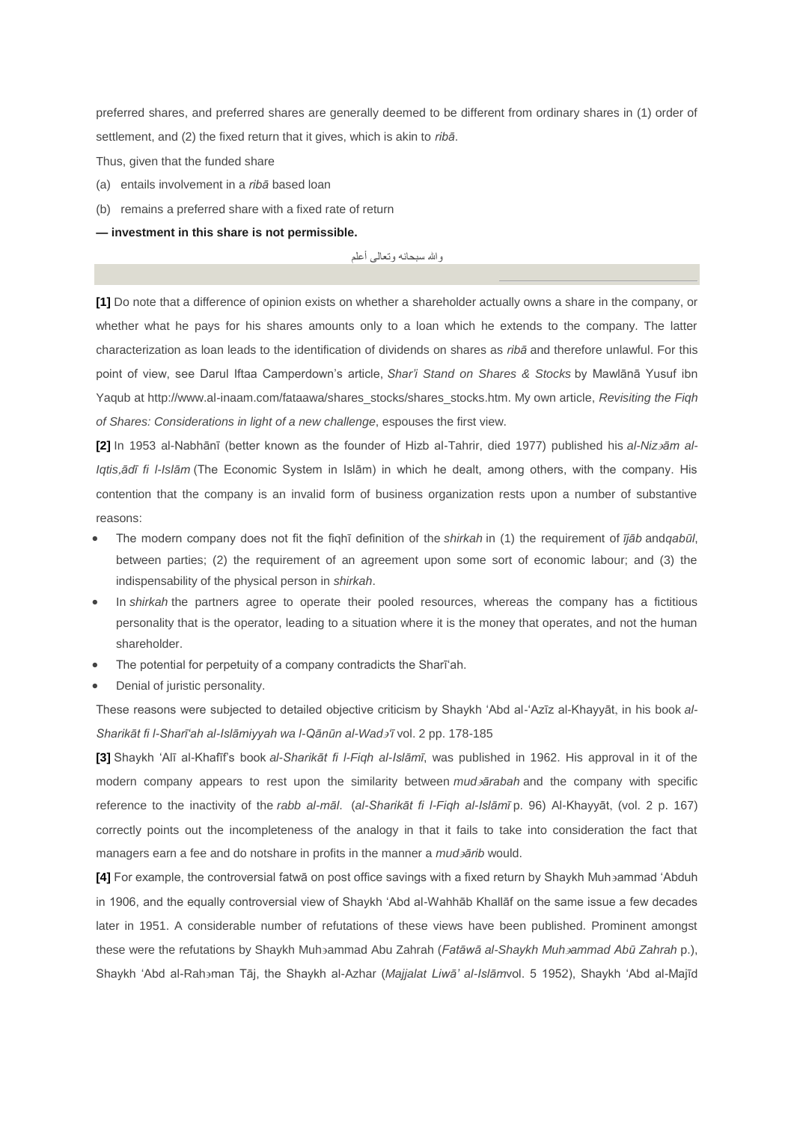preferred shares, and preferred shares are generally deemed to be different from ordinary shares in (1) order of settlement, and (2) the fixed return that it gives, which is akin to *ribā*.

Thus, given that the funded share

- (a) entails involvement in a *ribā* based loan
- (b) remains a preferred share with a fixed rate of return
- **— investment in this share is not permissible.**

والله سبحانه وتعالى أعلم

**[\[1\]](http://daralturath.co.za/Site/?page_id=804#_ftnref1)** Do note that a difference of opinion exists on whether a shareholder actually owns a share in the company, or whether what he pays for his shares amounts only to a loan which he extends to the company. The latter characterization as loan leads to the identification of dividends on shares as *ribā* and therefore unlawful. For this point of view, see Darul Iftaa Camperdown's article, *Shar'i Stand on Shares & Stocks* by Mawlānā Yusuf ibn Yaqub at http://www.al-inaam.com/fataawa/shares\_stocks/shares\_stocks.htm. My own article, *Revisiting the Fiqh of Shares: Considerations in light of a new challenge*, espouses the first view.

**[\[2\]](http://daralturath.co.za/Site/?page_id=804#_ftnref2)** In 1953 al-Nabhānī (better known as the founder of Hizb al-Tahrir, died 1977) published his *al-Nizām al-Iqtisādī fi l-Islām* (The Economic System in Islām) in which he dealt, among others, with the company. His contention that the company is an invalid form of business organization rests upon a number of substantive reasons:

- The modern company does not fit the fiqhī definition of the *shirkah* in (1) the requirement of *ījāb* and*qabūl*, between parties; (2) the requirement of an agreement upon some sort of economic labour; and (3) the indispensability of the physical person in *shirkah*.
- In *shirkah* the partners agree to operate their pooled resources, whereas the company has a fictitious personality that is the operator, leading to a situation where it is the money that operates, and not the human shareholder.
- The potential for perpetuity of a company contradicts the Sharī'ah.
- Denial of juristic personality.

These reasons were subjected to detailed objective criticism by Shaykh 'Abd al-'Azīz al-Khayyāt, in his book al-*Sharikāt fi l-Sharī'ah al-Islāmiyyah wa l-Qānūn al-Wad'ī* vol. 2 pp. 178-185

**[\[3\]](http://daralturath.co.za/Site/?page_id=804#_ftnref3)** Shaykh 'Alī al-Khafīf's book *al-Sharikāt fi l-Fiqh al-Islāmī*, was published in 1962. His approval in it of the modern company appears to rest upon the similarity between *mudārabah* and the company with specific reference to the inactivity of the *rabb al-māl*. (*al-Sharikāt fi l-Fiqh al-Islāmī* p. 96) Al-Khayyāt (vol. 2 p. 167) correctly points out the incompleteness of the analogy in that it fails to take into consideration the fact that managers earn a fee and do notshare in profits in the manner a *mudārib* would.

[\[4\]](http://daralturath.co.za/Site/?page_id=804#_ftnref4) For example, the controversial fatwā on post office savings with a fixed return by Shaykh Muhammad 'Abduh in 1906, and the equally controversial view of Shaykh 'Abd al-Wahhāb Khallāf on the same issue a few decades later in 1951. A considerable number of refutations of these views have been published. Prominent amongst these were the refutations by Shaykh Muhammad Abu Zahrah (*Fatāwā al-Shaykh Muhammad Abū Zahrah* p.), Shaykh 'Abd al-Rahaman Tāj, the Shaykh al-Azhar (*Majjalat Liwā' al-Islāmvol.* 5 1952), Shaykh 'Abd al-Majīd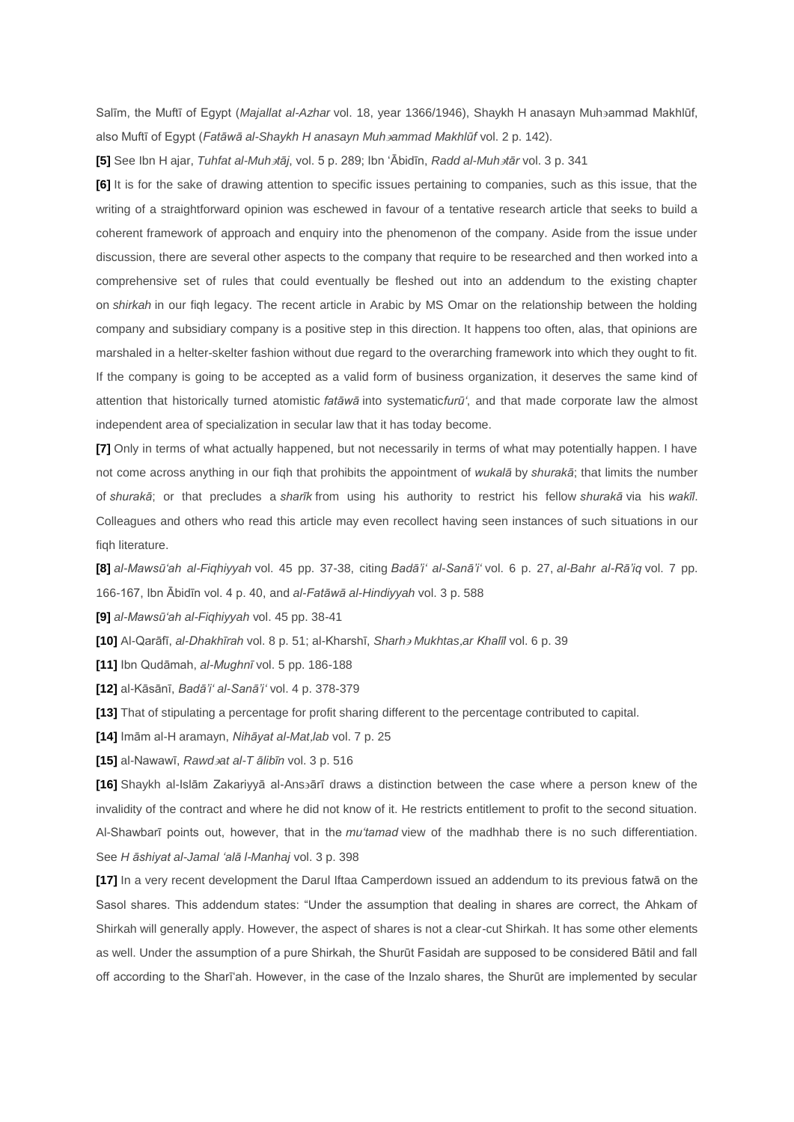Salīm, the Muftī of Egypt (*Majallat al-Azhar* vol. 18, year 1366/1946), Shaykh H anasayn Muhammad Makhlūf, also Muftī of Egypt (*Fatāwā al-Shaykh H anasayn Muhammad Makhlūf* vol. 2 p. 142).

**[\[5\]](http://daralturath.co.za/Site/?page_id=804#_ftnref5)** See Ibn H ajar, *Tuhfat al-Muhtāj*, vol. 5 p. 289; Ibn 'Ābidīn, *Radd al-Muhtār* vol. 3 p. 341

**[\[6\]](http://daralturath.co.za/Site/?page_id=804#_ftnref6)** It is for the sake of drawing attention to specific issues pertaining to companies, such as this issue, that the writing of a straightforward opinion was eschewed in favour of a tentative research article that seeks to build a coherent framework of approach and enquiry into the phenomenon of the company. Aside from the issue under discussion, there are several other aspects to the company that require to be researched and then worked into a comprehensive set of rules that could eventually be fleshed out into an addendum to the existing chapter on *shirkah* in our fiqh legacy. The recent article in Arabic by MS Omar on the relationship between the holding company and subsidiary company is a positive step in this direction. It happens too often, alas, that opinions are marshaled in a helter-skelter fashion without due regard to the overarching framework into which they ought to fit. If the company is going to be accepted as a valid form of business organization, it deserves the same kind of attention that historically turned atomistic *fatāwā* into systematic*furū'*, and that made corporate law the almost independent area of specialization in secular law that it has today become.

**[\[7\]](http://daralturath.co.za/Site/?page_id=804#_ftnref7)** Only in terms of what actually happened, but not necessarily in terms of what may potentially happen. I have not come across anything in our fiqh that prohibits the appointment of *wukalā* by *shurakā*; that limits the number of *shurakā*; or that precludes a *sharīk* from using his authority to restrict his fellow *shurakā* via his *wakīl*. Colleagues and others who read this article may even recollect having seen instances of such situations in our fiqh literature.

**[\[8\]](http://daralturath.co.za/Site/?page_id=804#_ftnref8)** *al-Mawsū'ah al-Fiqhiyyah* vol. 45 pp. 37-38, citing *Badā'i' al-Sanā'i'* vol. 6 p. 27, *al-Bahr al-Rā'iq* vol. 7 pp. 166-167, Ibn Ābidīn vol. 4 p. 40, and *al-Fatāwā al-Hindiyyah* vol. 3 p. 588

**[\[9\]](http://daralturath.co.za/Site/?page_id=804#_ftnref9)** *al-Mawsū'ah al-Fiqhiyyah* vol. 45 pp. 38-41

**[\[10\]](http://daralturath.co.za/Site/?page_id=804#_ftnref10)** Al-Qarāfī, *al-Dhakhīrah* vol. 8 p. 51; al-Kharshī, *Sharh Mukhtasar Khalīl* vol. 6 p. 39

**[\[11\]](http://daralturath.co.za/Site/?page_id=804#_ftnref11)** Ibn Qudāmah, *al-Mughnī* vol. 5 pp. 186-188

**[\[12\]](http://daralturath.co.za/Site/?page_id=804#_ftnref12)** al-Kāsānī, *Badā'i' al-Sanā'i'* vol. 4 p. 378-379

**[\[13\]](http://daralturath.co.za/Site/?page_id=804#_ftnref13)** That of stipulating a percentage for profit sharing different to the percentage contributed to capital.

**[\[14\]](http://daralturath.co.za/Site/?page_id=804#_ftnref14)** Imām al-H aramayn, *Nihāyat al-Matlab* vol. 7 p. 25

**[\[15\]](http://daralturath.co.za/Site/?page_id=804#_ftnref15)** al-Nawawī, *Rawdat al-T ālibīn* vol. 3 p. 516

**[\[16\]](http://daralturath.co.za/Site/?page_id=804#_ftnref16)** Shaykh al-Islām Zakariyyā al-Ansārī draws a distinction between the case where a person knew of the invalidity of the contract and where he did not know of it. He restricts entitlement to profit to the second situation. Al-Shawbarī points out, however, that in the *mu'tamad* view of the madhhab there is no such differentiation. See *H āshiyat al-Jamal 'alā l-Manhaj* vol. 3 p. 398

**[\[17\]](http://daralturath.co.za/Site/?page_id=804#_ftnref17)** In a very recent development the Darul Iftaa Camperdown issued an addendum to its previous fatwā on the Sasol shares. This addendum states: "Under the assumption that dealing in shares are correct, the Ahkam of Shirkah will generally apply. However, the aspect of shares is not a clear-cut Shirkah. It has some other elements as well. Under the assumption of a pure Shirkah, the Shurūt Fasidah are supposed to be considered Bātil and fall off according to the Sharī'ah. However, in the case of the Inzalo shares, the Shurūt are implemented by secular